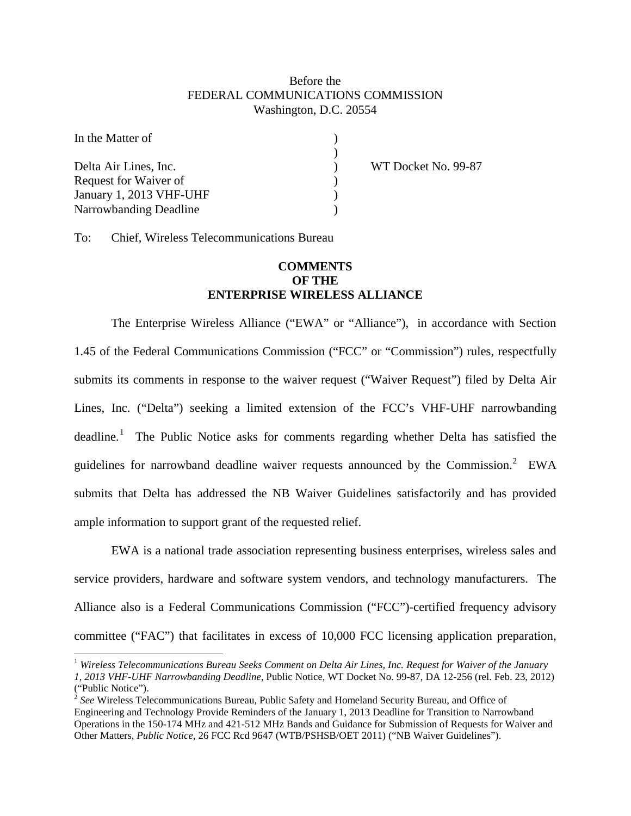## Before the FEDERAL COMMUNICATIONS COMMISSION Washington, D.C. 20554

)<br>)<br>)

| In the Matter of        |  |
|-------------------------|--|
|                         |  |
| Delta Air Lines, Inc.   |  |
| Request for Waiver of   |  |
| January 1, 2013 VHF-UHF |  |
| Narrowbanding Deadline  |  |

WT Docket No. 99-87

To: Chief, Wireless Telecommunications Bureau

## **COMMENTS OF THE ENTERPRISE WIRELESS ALLIANCE**

The Enterprise Wireless Alliance ("EWA" or "Alliance"), in accordance with Section 1.45 of the Federal Communications Commission ("FCC" or "Commission") rules, respectfully submits its comments in response to the waiver request ("Waiver Request") filed by Delta Air Lines, Inc. ("Delta") seeking a limited extension of the FCC's VHF-UHF narrowbanding deadline.<sup>[1](#page-0-0)</sup> The Public Notice asks for comments regarding whether Delta has satisfied the guidelines for narrowband deadline waiver requests announced by the Commission.<sup>[2](#page-0-1)</sup> EWA submits that Delta has addressed the NB Waiver Guidelines satisfactorily and has provided ample information to support grant of the requested relief.

EWA is a national trade association representing business enterprises, wireless sales and service providers, hardware and software system vendors, and technology manufacturers. The Alliance also is a Federal Communications Commission ("FCC")-certified frequency advisory committee ("FAC") that facilitates in excess of 10,000 FCC licensing application preparation,

<span id="page-0-0"></span> <sup>1</sup> *Wireless Telecommunications Bureau Seeks Comment on Delta Air Lines, Inc. Request for Waiver of the January 1, 2013 VHF-UHF Narrowbanding Deadline*, Public Notice, WT Docket No. 99-87, DA 12-256 (rel. Feb. 23, 2012) ("Public Notice").

<span id="page-0-1"></span><sup>&</sup>lt;sup>2</sup> See Wireless Telecommunications Bureau, Public Safety and Homeland Security Bureau, and Office of Engineering and Technology Provide Reminders of the January 1, 2013 Deadline for Transition to Narrowband Operations in the 150-174 MHz and 421-512 MHz Bands and Guidance for Submission of Requests for Waiver and Other Matters, *Public Notice*, 26 FCC Rcd 9647 (WTB/PSHSB/OET 2011) ("NB Waiver Guidelines").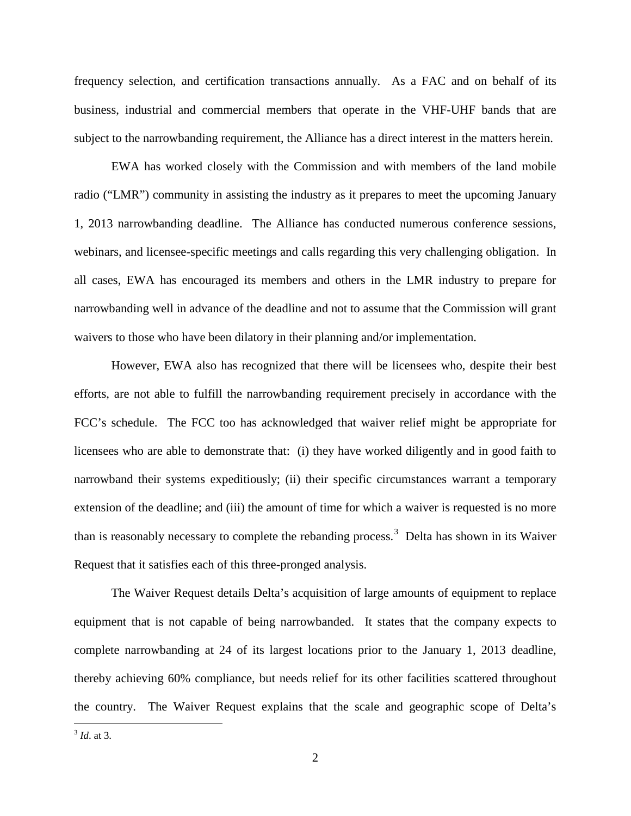frequency selection, and certification transactions annually. As a FAC and on behalf of its business, industrial and commercial members that operate in the VHF-UHF bands that are subject to the narrowbanding requirement, the Alliance has a direct interest in the matters herein.

EWA has worked closely with the Commission and with members of the land mobile radio ("LMR") community in assisting the industry as it prepares to meet the upcoming January 1, 2013 narrowbanding deadline. The Alliance has conducted numerous conference sessions, webinars, and licensee-specific meetings and calls regarding this very challenging obligation. In all cases, EWA has encouraged its members and others in the LMR industry to prepare for narrowbanding well in advance of the deadline and not to assume that the Commission will grant waivers to those who have been dilatory in their planning and/or implementation.

However, EWA also has recognized that there will be licensees who, despite their best efforts, are not able to fulfill the narrowbanding requirement precisely in accordance with the FCC's schedule. The FCC too has acknowledged that waiver relief might be appropriate for licensees who are able to demonstrate that: (i) they have worked diligently and in good faith to narrowband their systems expeditiously; (ii) their specific circumstances warrant a temporary extension of the deadline; and (iii) the amount of time for which a waiver is requested is no more than is reasonably necessary to complete the rebanding process.<sup>[3](#page-1-0)</sup> Delta has shown in its Waiver Request that it satisfies each of this three-pronged analysis.

The Waiver Request details Delta's acquisition of large amounts of equipment to replace equipment that is not capable of being narrowbanded. It states that the company expects to complete narrowbanding at 24 of its largest locations prior to the January 1, 2013 deadline, thereby achieving 60% compliance, but needs relief for its other facilities scattered throughout the country. The Waiver Request explains that the scale and geographic scope of Delta's

<span id="page-1-0"></span> <sup>3</sup> *Id*. at 3.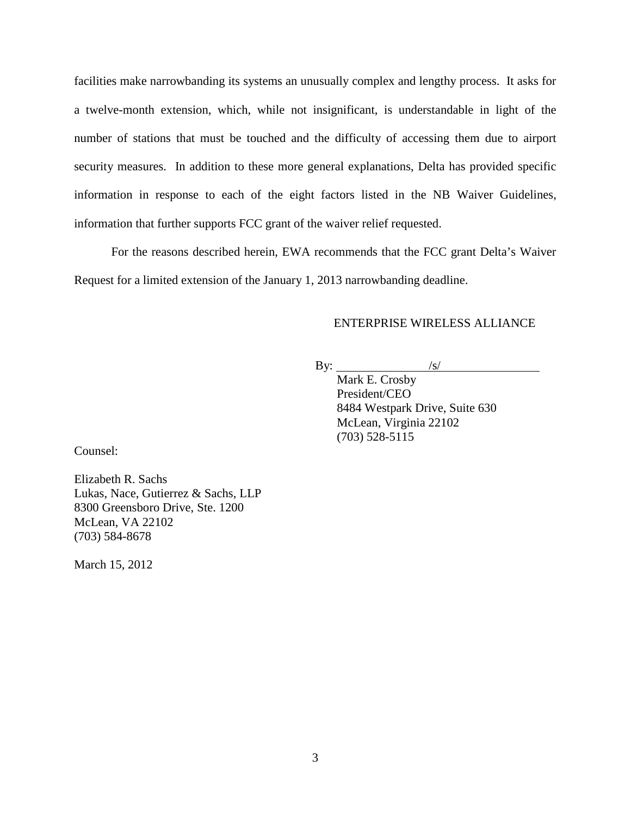facilities make narrowbanding its systems an unusually complex and lengthy process. It asks for a twelve-month extension, which, while not insignificant, is understandable in light of the number of stations that must be touched and the difficulty of accessing them due to airport security measures. In addition to these more general explanations, Delta has provided specific information in response to each of the eight factors listed in the NB Waiver Guidelines, information that further supports FCC grant of the waiver relief requested.

For the reasons described herein, EWA recommends that the FCC grant Delta's Waiver Request for a limited extension of the January 1, 2013 narrowbanding deadline.

## ENTERPRISE WIRELESS ALLIANCE

By:  $\sqrt{s}$ 

> Mark E. Crosby President/CEO 8484 Westpark Drive, Suite 630 McLean, Virginia 22102 (703) 528-5115

Counsel:

Elizabeth R. Sachs Lukas, Nace, Gutierrez & Sachs, LLP 8300 Greensboro Drive, Ste. 1200 McLean, VA 22102 (703) 584-8678

March 15, 2012